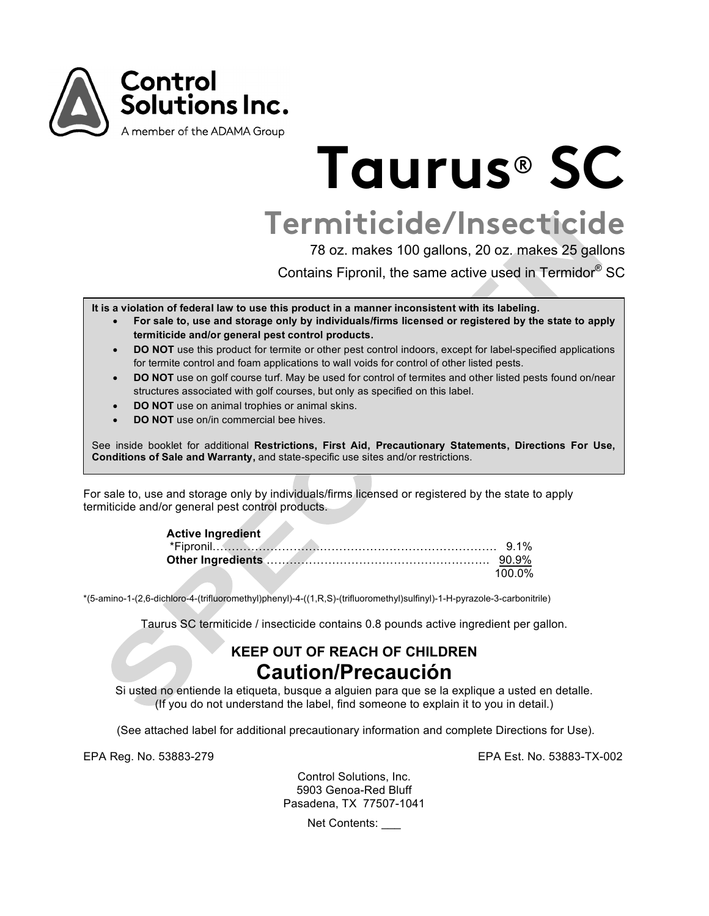

# **Taurus**® **SC**

**Termiticide/Insecticide**

78 oz. makes 100 gallons, 20 oz. makes 25 gallons

Contains Fipronil, the same active used in Termidor® SC

**It is a violation of federal law to use this product in a manner inconsistent with its labeling.**

- **For sale to, use and storage only by individuals/firms licensed or registered by the state to apply termiticide and/or general pest control products.**
- **DO NOT** use this product for termite or other pest control indoors, except for label-specified applications for termite control and foam applications to wall voids for control of other listed pests.
- **DO NOT** use on golf course turf. May be used for control of termites and other listed pests found on/near structures associated with golf courses, but only as specified on this label.
- **DO NOT** use on animal trophies or animal skins.
- **DO NOT** use on/in commercial bee hives

See inside booklet for additional **Restrictions, First Aid, Precautionary Statements, Directions For Use, Conditions of Sale and Warranty,** and state-specific use sites and/or restrictions.

For sale to, use and storage only by individuals/firms licensed or registered by the state to apply termiticide and/or general pest control products.

| <b>Active Ingredient</b> |        |
|--------------------------|--------|
|                          |        |
|                          |        |
|                          | 100 0% |

\*(5-amino-1-(2,6-dichloro-4-(trifluoromethyl)phenyl)-4-((1,R,S)-(trifluoromethyl)sulfinyl)-1-H-pyrazole-3-carbonitrile)

Taurus SC termiticide / insecticide contains 0.8 pounds active ingredient per gallon.

# **KEEP OUT OF REACH OF CHILDREN Caution/Precaución**

Si usted no entiende la etiqueta, busque a alguien para que se la explique a usted en detalle. (If you do not understand the label, find someone to explain it to you in detail.)

(See attached label for additional precautionary information and complete Directions for Use).

EPA Reg. No. 53883-279 EPA Est. No. 53883-TX-002

Control Solutions, Inc. 5903 Genoa-Red Bluff Pasadena, TX 77507-1041

Net Contents: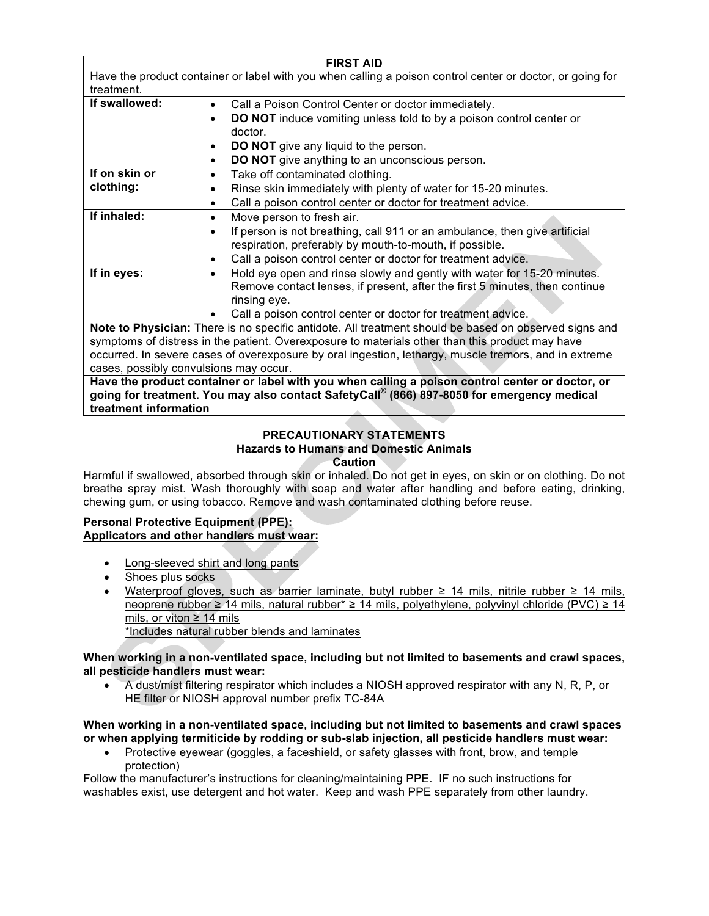| <b>FIRST AID</b>                                                                                          |                                                                                                       |  |
|-----------------------------------------------------------------------------------------------------------|-------------------------------------------------------------------------------------------------------|--|
| Have the product container or label with you when calling a poison control center or doctor, or going for |                                                                                                       |  |
| treatment.                                                                                                |                                                                                                       |  |
| If swallowed:                                                                                             | Call a Poison Control Center or doctor immediately.<br>$\bullet$                                      |  |
|                                                                                                           | <b>DO NOT</b> induce vomiting unless told to by a poison control center or                            |  |
|                                                                                                           | doctor.                                                                                               |  |
|                                                                                                           | <b>DO NOT</b> give any liquid to the person.<br>$\bullet$                                             |  |
|                                                                                                           | DO NOT give anything to an unconscious person.<br>$\bullet$                                           |  |
| If on skin or                                                                                             | Take off contaminated clothing.<br>$\bullet$                                                          |  |
| clothing:                                                                                                 | Rinse skin immediately with plenty of water for 15-20 minutes.<br>٠                                   |  |
|                                                                                                           | Call a poison control center or doctor for treatment advice.<br>$\bullet$                             |  |
| If inhaled:                                                                                               | Move person to fresh air.<br>$\bullet$                                                                |  |
|                                                                                                           | If person is not breathing, call 911 or an ambulance, then give artificial<br>$\bullet$               |  |
|                                                                                                           | respiration, preferably by mouth-to-mouth, if possible.                                               |  |
|                                                                                                           | Call a poison control center or doctor for treatment advice.<br>$\bullet$                             |  |
| If in eyes:                                                                                               | Hold eye open and rinse slowly and gently with water for 15-20 minutes.<br>$\bullet$                  |  |
|                                                                                                           | Remove contact lenses, if present, after the first 5 minutes, then continue                           |  |
|                                                                                                           | rinsing eye.                                                                                          |  |
|                                                                                                           | Call a poison control center or doctor for treatment advice.<br>$\bullet$                             |  |
|                                                                                                           | Note to Physician: There is no specific antidote. All treatment should be based on observed signs and |  |
| symptoms of distress in the patient. Overexposure to materials other than this product may have           |                                                                                                       |  |
| occurred. In severe cases of overexposure by oral ingestion, lethargy, muscle tremors, and in extreme     |                                                                                                       |  |
| cases, possibly convulsions may occur.                                                                    |                                                                                                       |  |
| Have the product container or label with you when calling a poison control center or doctor, or           |                                                                                                       |  |

**going for treatment. You may also contact SafetyCall® (866) 897-8050 for emergency medical treatment information**

#### **PRECAUTIONARY STATEMENTS Hazards to Humans and Domestic Animals Caution**

Harmful if swallowed, absorbed through skin or inhaled. Do not get in eyes, on skin or on clothing. Do not breathe spray mist. Wash thoroughly with soap and water after handling and before eating, drinking, chewing gum, or using tobacco. Remove and wash contaminated clothing before reuse.

# **Personal Protective Equipment (PPE): Applicators and other handlers must wear:**

- Long-sleeved shirt and long pants
- Shoes plus socks
- Waterproof gloves, such as barrier laminate, butyl rubber ≥ 14 mils, nitrile rubber ≥ 14 mils, neoprene rubber ≥ 14 mils, natural rubber\* ≥ 14 mils, polyethylene, polyvinyl chloride (PVC) ≥ 14 mils, or viton ≥ 14 mils \*Includes natural rubber blends and laminates

# **When working in a non-ventilated space, including but not limited to basements and crawl spaces, all pesticide handlers must wear:**

• A dust/mist filtering respirator which includes a NIOSH approved respirator with any N, R, P, or HE filter or NIOSH approval number prefix TC-84A

# **When working in a non-ventilated space, including but not limited to basements and crawl spaces or when applying termiticide by rodding or sub-slab injection, all pesticide handlers must wear:**

• Protective eyewear (goggles, a faceshield, or safety glasses with front, brow, and temple protection)

Follow the manufacturer's instructions for cleaning/maintaining PPE. IF no such instructions for washables exist, use detergent and hot water. Keep and wash PPE separately from other laundry.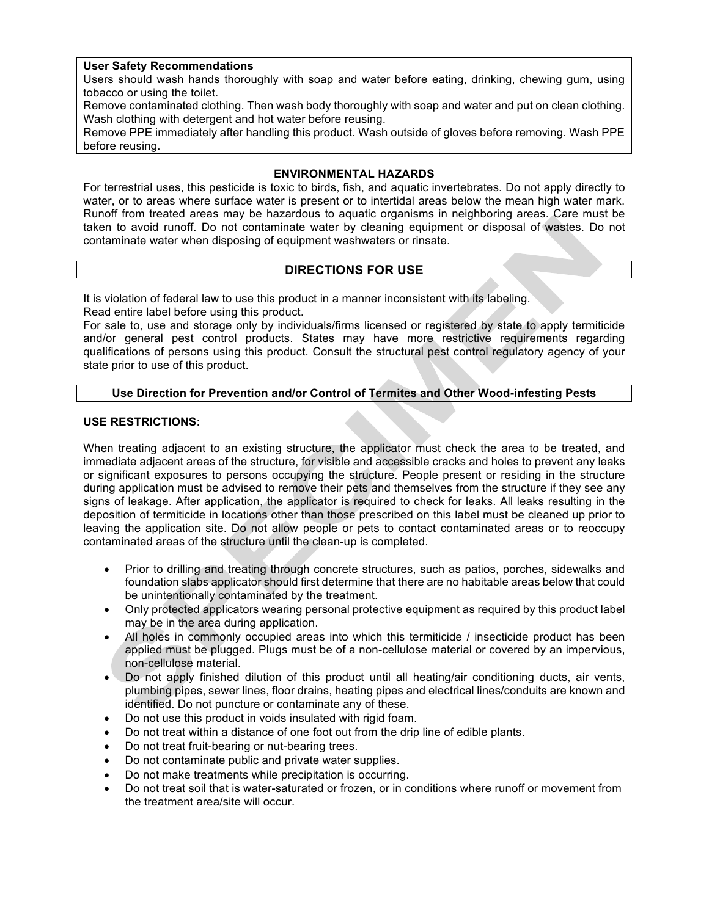# **User Safety Recommendations**

Users should wash hands thoroughly with soap and water before eating, drinking, chewing gum, using tobacco or using the toilet.

Remove contaminated clothing. Then wash body thoroughly with soap and water and put on clean clothing. Wash clothing with detergent and hot water before reusing.

Remove PPE immediately after handling this product. Wash outside of gloves before removing. Wash PPE before reusing.

#### **ENVIRONMENTAL HAZARDS**

For terrestrial uses, this pesticide is toxic to birds, fish, and aquatic invertebrates. Do not apply directly to water, or to areas where surface water is present or to intertidal areas below the mean high water mark. Runoff from treated areas may be hazardous to aquatic organisms in neighboring areas. Care must be taken to avoid runoff. Do not contaminate water by cleaning equipment or disposal of wastes. Do not contaminate water when disposing of equipment washwaters or rinsate.

# **DIRECTIONS FOR USE**

It is violation of federal law to use this product in a manner inconsistent with its labeling. Read entire label before using this product.

For sale to, use and storage only by individuals/firms licensed or registered by state to apply termiticide and/or general pest control products. States may have more restrictive requirements regarding qualifications of persons using this product. Consult the structural pest control regulatory agency of your state prior to use of this product.

# **Use Direction for Prevention and/or Control of Termites and Other Wood-infesting Pests**

#### **USE RESTRICTIONS:**

When treating adjacent to an existing structure, the applicator must check the area to be treated, and immediate adjacent areas of the structure, for visible and accessible cracks and holes to prevent any leaks or significant exposures to persons occupying the structure. People present or residing in the structure during application must be advised to remove their pets and themselves from the structure if they see any signs of leakage. After application, the applicator is required to check for leaks. All leaks resulting in the deposition of termiticide in locations other than those prescribed on this label must be cleaned up prior to leaving the application site. Do not allow people or pets to contact contaminated areas or to reoccupy contaminated areas of the structure until the clean-up is completed.

- Prior to drilling and treating through concrete structures, such as patios, porches, sidewalks and foundation slabs applicator should first determine that there are no habitable areas below that could be unintentionally contaminated by the treatment.
- Only protected applicators wearing personal protective equipment as required by this product label may be in the area during application.
- All holes in commonly occupied areas into which this termiticide / insecticide product has been applied must be plugged. Plugs must be of a non-cellulose material or covered by an impervious, non-cellulose material.
- Do not apply finished dilution of this product until all heating/air conditioning ducts, air vents, plumbing pipes, sewer lines, floor drains, heating pipes and electrical lines/conduits are known and identified. Do not puncture or contaminate any of these.
- Do not use this product in voids insulated with rigid foam.
- Do not treat within a distance of one foot out from the drip line of edible plants.
- Do not treat fruit-bearing or nut-bearing trees.
- Do not contaminate public and private water supplies.
- Do not make treatments while precipitation is occurring.
- Do not treat soil that is water-saturated or frozen, or in conditions where runoff or movement from the treatment area/site will occur.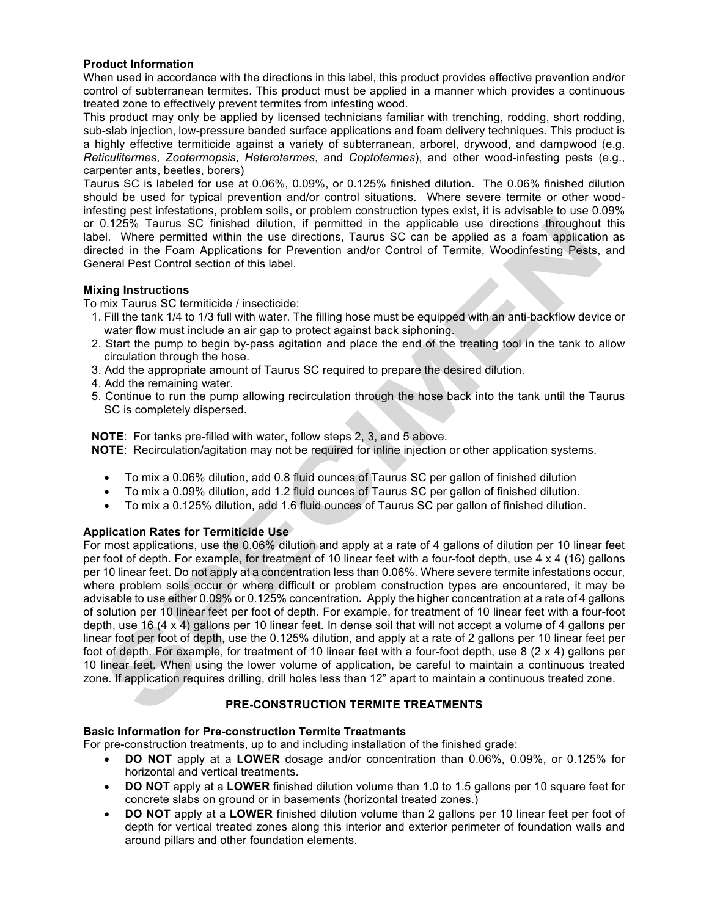# **Product Information**

When used in accordance with the directions in this label, this product provides effective prevention and/or control of subterranean termites. This product must be applied in a manner which provides a continuous treated zone to effectively prevent termites from infesting wood.

This product may only be applied by licensed technicians familiar with trenching, rodding, short rodding, sub-slab injection, low-pressure banded surface applications and foam delivery techniques. This product is a highly effective termiticide against a variety of subterranean, arborel, drywood, and dampwood (e.g. *Reticulitermes*, *Zootermopsis*, *Heterotermes*, and *Coptotermes*), and other wood-infesting pests (e.g., carpenter ants, beetles, borers)

Taurus SC is labeled for use at 0.06%, 0.09%, or 0.125% finished dilution. The 0.06% finished dilution should be used for typical prevention and/or control situations. Where severe termite or other woodinfesting pest infestations, problem soils, or problem construction types exist, it is advisable to use 0.09% or 0.125% Taurus SC finished dilution, if permitted in the applicable use directions throughout this label. Where permitted within the use directions, Taurus SC can be applied as a foam application as directed in the Foam Applications for Prevention and/or Control of Termite, Woodinfesting Pests, and General Pest Control section of this label.

# **Mixing Instructions**

To mix Taurus SC termiticide / insecticide:

- 1. Fill the tank 1/4 to 1/3 full with water. The filling hose must be equipped with an anti-backflow device or water flow must include an air gap to protect against back siphoning.
- 2. Start the pump to begin by-pass agitation and place the end of the treating tool in the tank to allow circulation through the hose.
- 3. Add the appropriate amount of Taurus SC required to prepare the desired dilution.
- 4. Add the remaining water.
- 5. Continue to run the pump allowing recirculation through the hose back into the tank until the Taurus SC is completely dispersed.

**NOTE**: For tanks pre-filled with water, follow steps 2, 3, and 5 above.

- **NOTE**: Recirculation/agitation may not be required for inline injection or other application systems.
	- To mix a 0.06% dilution, add 0.8 fluid ounces of Taurus SC per gallon of finished dilution
	- To mix a 0.09% dilution, add 1.2 fluid ounces of Taurus SC per gallon of finished dilution.
	- To mix a 0.125% dilution, add 1.6 fluid ounces of Taurus SC per gallon of finished dilution.

# **Application Rates for Termiticide Use**

For most applications, use the 0.06% dilution and apply at a rate of 4 gallons of dilution per 10 linear feet per foot of depth. For example, for treatment of 10 linear feet with a four-foot depth, use 4 x 4 (16) gallons per 10 linear feet. Do not apply at a concentration less than 0.06%. Where severe termite infestations occur, where problem soils occur or where difficult or problem construction types are encountered, it may be advisable to use either 0.09% or 0.125% concentration**.** Apply the higher concentration at a rate of 4 gallons of solution per 10 linear feet per foot of depth. For example, for treatment of 10 linear feet with a four-foot depth, use 16 (4 x 4) gallons per 10 linear feet. In dense soil that will not accept a volume of 4 gallons per linear foot per foot of depth, use the 0.125% dilution, and apply at a rate of 2 gallons per 10 linear feet per foot of depth. For example, for treatment of 10 linear feet with a four-foot depth, use 8 (2 x 4) gallons per 10 linear feet. When using the lower volume of application, be careful to maintain a continuous treated zone. If application requires drilling, drill holes less than 12" apart to maintain a continuous treated zone.

# **PRE-CONSTRUCTION TERMITE TREATMENTS**

#### **Basic Information for Pre-construction Termite Treatments**

For pre-construction treatments, up to and including installation of the finished grade:

- **DO NOT** apply at a **LOWER** dosage and/or concentration than 0.06%, 0.09%, or 0.125% for horizontal and vertical treatments.
- **DO NOT** apply at a **LOWER** finished dilution volume than 1.0 to 1.5 gallons per 10 square feet for concrete slabs on ground or in basements (horizontal treated zones.)
- **DO NOT** apply at a **LOWER** finished dilution volume than 2 gallons per 10 linear feet per foot of depth for vertical treated zones along this interior and exterior perimeter of foundation walls and around pillars and other foundation elements.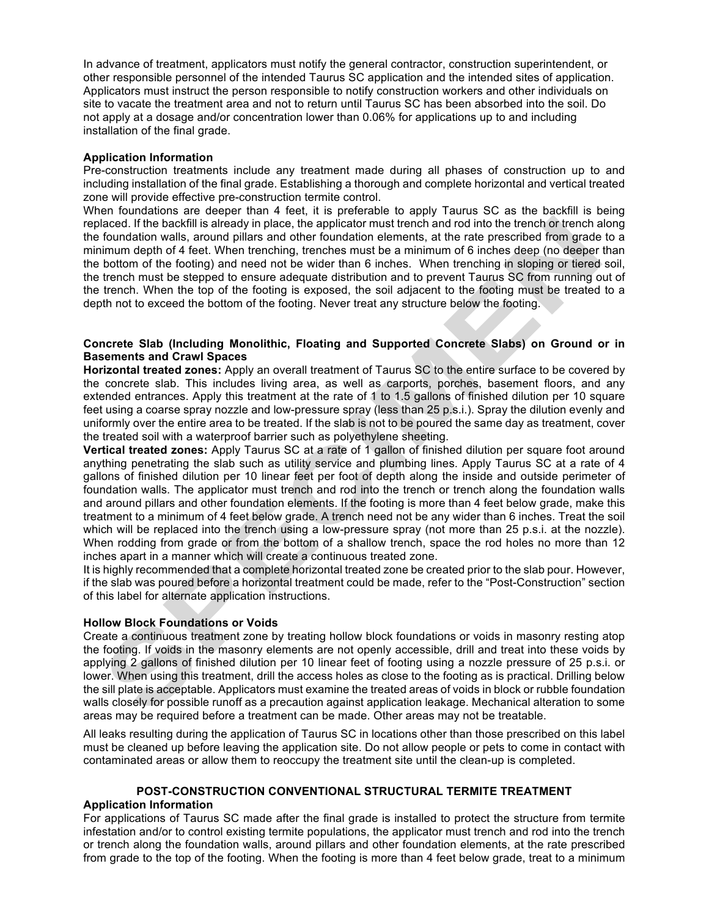In advance of treatment, applicators must notify the general contractor, construction superintendent, or other responsible personnel of the intended Taurus SC application and the intended sites of application. Applicators must instruct the person responsible to notify construction workers and other individuals on site to vacate the treatment area and not to return until Taurus SC has been absorbed into the soil. Do not apply at a dosage and/or concentration lower than 0.06% for applications up to and including installation of the final grade.

#### **Application Information**

Pre-construction treatments include any treatment made during all phases of construction up to and including installation of the final grade. Establishing a thorough and complete horizontal and vertical treated zone will provide effective pre-construction termite control.

When foundations are deeper than 4 feet, it is preferable to apply Taurus SC as the backfill is being replaced. If the backfill is already in place, the applicator must trench and rod into the trench or trench along the foundation walls, around pillars and other foundation elements, at the rate prescribed from grade to a minimum depth of 4 feet. When trenching, trenches must be a minimum of 6 inches deep (no deeper than the bottom of the footing) and need not be wider than 6 inches. When trenching in sloping or tiered soil, the trench must be stepped to ensure adequate distribution and to prevent Taurus SC from running out of the trench. When the top of the footing is exposed, the soil adjacent to the footing must be treated to a depth not to exceed the bottom of the footing. Never treat any structure below the footing.

#### **Concrete Slab (Including Monolithic, Floating and Supported Concrete Slabs) on Ground or in Basements and Crawl Spaces**

**Horizontal treated zones:** Apply an overall treatment of Taurus SC to the entire surface to be covered by the concrete slab. This includes living area, as well as carports, porches, basement floors, and any extended entrances. Apply this treatment at the rate of 1 to 1.5 gallons of finished dilution per 10 square feet using a coarse spray nozzle and low-pressure spray (less than 25 p.s.i.). Spray the dilution evenly and uniformly over the entire area to be treated. If the slab is not to be poured the same day as treatment, cover the treated soil with a waterproof barrier such as polyethylene sheeting.

**Vertical treated zones:** Apply Taurus SC at a rate of 1 gallon of finished dilution per square foot around anything penetrating the slab such as utility service and plumbing lines. Apply Taurus SC at a rate of 4 gallons of finished dilution per 10 linear feet per foot of depth along the inside and outside perimeter of foundation walls. The applicator must trench and rod into the trench or trench along the foundation walls and around pillars and other foundation elements. If the footing is more than 4 feet below grade, make this treatment to a minimum of 4 feet below grade. A trench need not be any wider than 6 inches. Treat the soil which will be replaced into the trench using a low-pressure spray (not more than 25 p.s.i. at the nozzle). When rodding from grade or from the bottom of a shallow trench, space the rod holes no more than 12 inches apart in a manner which will create a continuous treated zone.

It is highly recommended that a complete horizontal treated zone be created prior to the slab pour. However, if the slab was poured before a horizontal treatment could be made, refer to the "Post-Construction" section of this label for alternate application instructions.

#### **Hollow Block Foundations or Voids**

Create a continuous treatment zone by treating hollow block foundations or voids in masonry resting atop the footing. If voids in the masonry elements are not openly accessible, drill and treat into these voids by applying 2 gallons of finished dilution per 10 linear feet of footing using a nozzle pressure of 25 p.s.i. or lower. When using this treatment, drill the access holes as close to the footing as is practical. Drilling below the sill plate is acceptable. Applicators must examine the treated areas of voids in block or rubble foundation walls closely for possible runoff as a precaution against application leakage. Mechanical alteration to some areas may be required before a treatment can be made. Other areas may not be treatable.

All leaks resulting during the application of Taurus SC in locations other than those prescribed on this label must be cleaned up before leaving the application site. Do not allow people or pets to come in contact with contaminated areas or allow them to reoccupy the treatment site until the clean-up is completed.

#### **POST-CONSTRUCTION CONVENTIONAL STRUCTURAL TERMITE TREATMENT**

#### **Application Information**

For applications of Taurus SC made after the final grade is installed to protect the structure from termite infestation and/or to control existing termite populations, the applicator must trench and rod into the trench or trench along the foundation walls, around pillars and other foundation elements, at the rate prescribed from grade to the top of the footing. When the footing is more than 4 feet below grade, treat to a minimum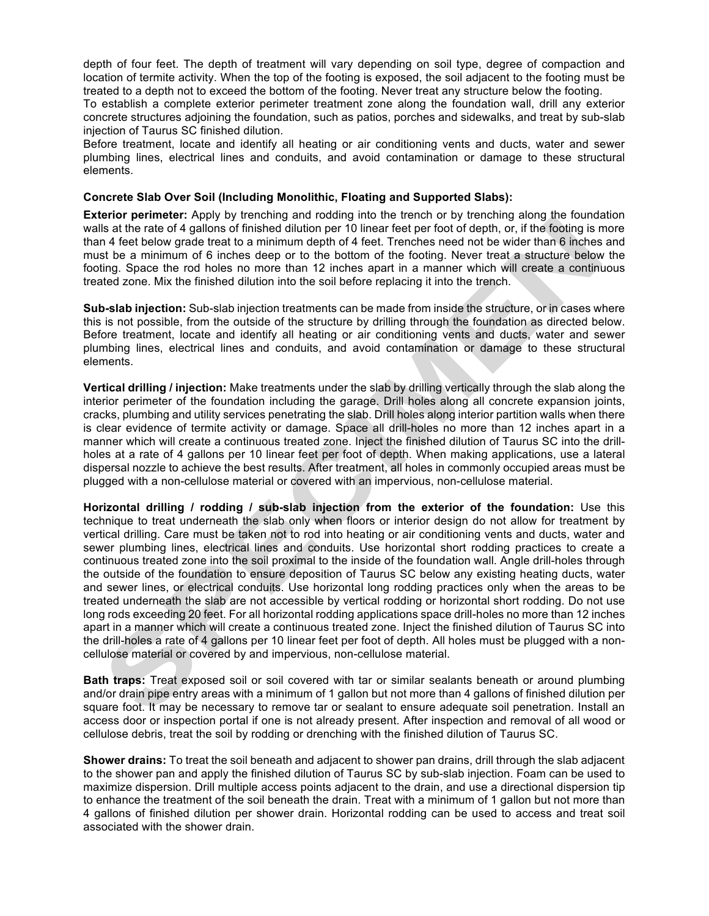depth of four feet. The depth of treatment will vary depending on soil type, degree of compaction and location of termite activity. When the top of the footing is exposed, the soil adjacent to the footing must be treated to a depth not to exceed the bottom of the footing. Never treat any structure below the footing.

To establish a complete exterior perimeter treatment zone along the foundation wall, drill any exterior concrete structures adjoining the foundation, such as patios, porches and sidewalks, and treat by sub-slab injection of Taurus SC finished dilution.

Before treatment, locate and identify all heating or air conditioning vents and ducts, water and sewer plumbing lines, electrical lines and conduits, and avoid contamination or damage to these structural elements.

#### **Concrete Slab Over Soil (Including Monolithic, Floating and Supported Slabs):**

**Exterior perimeter:** Apply by trenching and rodding into the trench or by trenching along the foundation walls at the rate of 4 gallons of finished dilution per 10 linear feet per foot of depth, or, if the footing is more than 4 feet below grade treat to a minimum depth of 4 feet. Trenches need not be wider than 6 inches and must be a minimum of 6 inches deep or to the bottom of the footing. Never treat a structure below the footing. Space the rod holes no more than 12 inches apart in a manner which will create a continuous treated zone. Mix the finished dilution into the soil before replacing it into the trench.

**Sub-slab injection:** Sub-slab injection treatments can be made from inside the structure, or in cases where this is not possible, from the outside of the structure by drilling through the foundation as directed below. Before treatment, locate and identify all heating or air conditioning vents and ducts, water and sewer plumbing lines, electrical lines and conduits, and avoid contamination or damage to these structural elements.

**Vertical drilling / injection:** Make treatments under the slab by drilling vertically through the slab along the interior perimeter of the foundation including the garage. Drill holes along all concrete expansion joints, cracks, plumbing and utility services penetrating the slab. Drill holes along interior partition walls when there is clear evidence of termite activity or damage. Space all drill-holes no more than 12 inches apart in a manner which will create a continuous treated zone. Inject the finished dilution of Taurus SC into the drillholes at a rate of 4 gallons per 10 linear feet per foot of depth. When making applications, use a lateral dispersal nozzle to achieve the best results. After treatment, all holes in commonly occupied areas must be plugged with a non-cellulose material or covered with an impervious, non-cellulose material.

**Horizontal drilling / rodding / sub-slab injection from the exterior of the foundation:** Use this technique to treat underneath the slab only when floors or interior design do not allow for treatment by vertical drilling. Care must be taken not to rod into heating or air conditioning vents and ducts, water and sewer plumbing lines, electrical lines and conduits. Use horizontal short rodding practices to create a continuous treated zone into the soil proximal to the inside of the foundation wall. Angle drill-holes through the outside of the foundation to ensure deposition of Taurus SC below any existing heating ducts, water and sewer lines, or electrical conduits. Use horizontal long rodding practices only when the areas to be treated underneath the slab are not accessible by vertical rodding or horizontal short rodding. Do not use long rods exceeding 20 feet. For all horizontal rodding applications space drill-holes no more than 12 inches apart in a manner which will create a continuous treated zone. Inject the finished dilution of Taurus SC into the drill-holes a rate of 4 gallons per 10 linear feet per foot of depth. All holes must be plugged with a noncellulose material or covered by and impervious, non-cellulose material.

**Bath traps:** Treat exposed soil or soil covered with tar or similar sealants beneath or around plumbing and/or drain pipe entry areas with a minimum of 1 gallon but not more than 4 gallons of finished dilution per square foot. It may be necessary to remove tar or sealant to ensure adequate soil penetration. Install an access door or inspection portal if one is not already present. After inspection and removal of all wood or cellulose debris, treat the soil by rodding or drenching with the finished dilution of Taurus SC.

**Shower drains:** To treat the soil beneath and adjacent to shower pan drains, drill through the slab adjacent to the shower pan and apply the finished dilution of Taurus SC by sub-slab injection. Foam can be used to maximize dispersion. Drill multiple access points adjacent to the drain, and use a directional dispersion tip to enhance the treatment of the soil beneath the drain. Treat with a minimum of 1 gallon but not more than 4 gallons of finished dilution per shower drain. Horizontal rodding can be used to access and treat soil associated with the shower drain.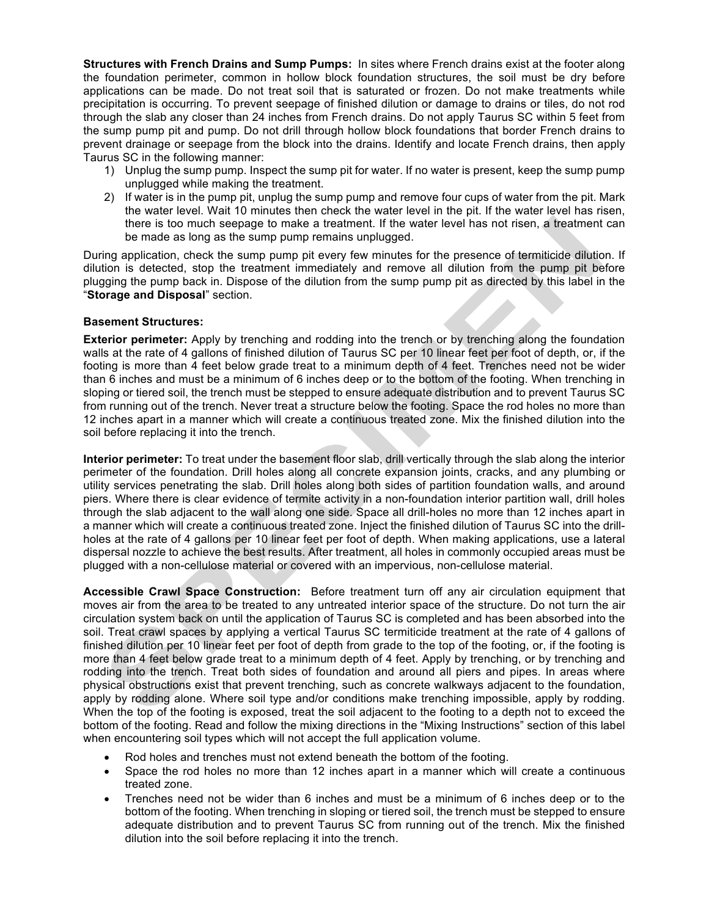**Structures with French Drains and Sump Pumps:** In sites where French drains exist at the footer along the foundation perimeter, common in hollow block foundation structures, the soil must be dry before applications can be made. Do not treat soil that is saturated or frozen. Do not make treatments while precipitation is occurring. To prevent seepage of finished dilution or damage to drains or tiles, do not rod through the slab any closer than 24 inches from French drains. Do not apply Taurus SC within 5 feet from the sump pump pit and pump. Do not drill through hollow block foundations that border French drains to prevent drainage or seepage from the block into the drains. Identify and locate French drains, then apply Taurus SC in the following manner:

- 1) Unplug the sump pump. Inspect the sump pit for water. If no water is present, keep the sump pump unplugged while making the treatment.
- 2) If water is in the pump pit, unplug the sump pump and remove four cups of water from the pit. Mark the water level. Wait 10 minutes then check the water level in the pit. If the water level has risen, there is too much seepage to make a treatment. If the water level has not risen, a treatment can be made as long as the sump pump remains unplugged.

During application, check the sump pump pit every few minutes for the presence of termiticide dilution. If dilution is detected, stop the treatment immediately and remove all dilution from the pump pit before plugging the pump back in. Dispose of the dilution from the sump pump pit as directed by this label in the "**Storage and Disposal**" section.

#### **Basement Structures:**

**Exterior perimeter:** Apply by trenching and rodding into the trench or by trenching along the foundation walls at the rate of 4 gallons of finished dilution of Taurus SC per 10 linear feet per foot of depth, or, if the footing is more than 4 feet below grade treat to a minimum depth of 4 feet. Trenches need not be wider than 6 inches and must be a minimum of 6 inches deep or to the bottom of the footing. When trenching in sloping or tiered soil, the trench must be stepped to ensure adequate distribution and to prevent Taurus SC from running out of the trench. Never treat a structure below the footing. Space the rod holes no more than 12 inches apart in a manner which will create a continuous treated zone. Mix the finished dilution into the soil before replacing it into the trench.

**Interior perimeter:** To treat under the basement floor slab, drill vertically through the slab along the interior perimeter of the foundation. Drill holes along all concrete expansion joints, cracks, and any plumbing or utility services penetrating the slab. Drill holes along both sides of partition foundation walls, and around piers. Where there is clear evidence of termite activity in a non-foundation interior partition wall, drill holes through the slab adjacent to the wall along one side. Space all drill-holes no more than 12 inches apart in a manner which will create a continuous treated zone. Inject the finished dilution of Taurus SC into the drillholes at the rate of 4 gallons per 10 linear feet per foot of depth. When making applications, use a lateral dispersal nozzle to achieve the best results. After treatment, all holes in commonly occupied areas must be plugged with a non-cellulose material or covered with an impervious, non-cellulose material.

**Accessible Crawl Space Construction:** Before treatment turn off any air circulation equipment that moves air from the area to be treated to any untreated interior space of the structure. Do not turn the air circulation system back on until the application of Taurus SC is completed and has been absorbed into the soil. Treat crawl spaces by applying a vertical Taurus SC termiticide treatment at the rate of 4 gallons of finished dilution per 10 linear feet per foot of depth from grade to the top of the footing, or, if the footing is more than 4 feet below grade treat to a minimum depth of 4 feet. Apply by trenching, or by trenching and rodding into the trench. Treat both sides of foundation and around all piers and pipes. In areas where physical obstructions exist that prevent trenching, such as concrete walkways adjacent to the foundation, apply by rodding alone. Where soil type and/or conditions make trenching impossible, apply by rodding. When the top of the footing is exposed, treat the soil adjacent to the footing to a depth not to exceed the bottom of the footing. Read and follow the mixing directions in the "Mixing Instructions" section of this label when encountering soil types which will not accept the full application volume.

- Rod holes and trenches must not extend beneath the bottom of the footing.
- Space the rod holes no more than 12 inches apart in a manner which will create a continuous treated zone.
- Trenches need not be wider than 6 inches and must be a minimum of 6 inches deep or to the bottom of the footing. When trenching in sloping or tiered soil, the trench must be stepped to ensure adequate distribution and to prevent Taurus SC from running out of the trench. Mix the finished dilution into the soil before replacing it into the trench.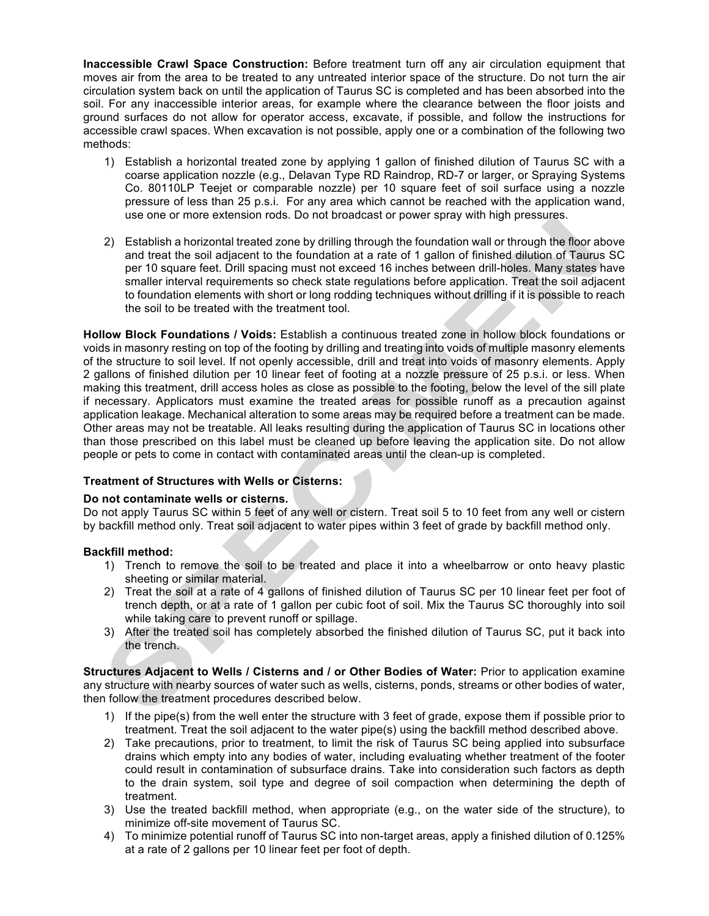**Inaccessible Crawl Space Construction:** Before treatment turn off any air circulation equipment that moves air from the area to be treated to any untreated interior space of the structure. Do not turn the air circulation system back on until the application of Taurus SC is completed and has been absorbed into the soil. For any inaccessible interior areas, for example where the clearance between the floor joists and ground surfaces do not allow for operator access, excavate, if possible, and follow the instructions for accessible crawl spaces. When excavation is not possible, apply one or a combination of the following two methods:

- 1) Establish a horizontal treated zone by applying 1 gallon of finished dilution of Taurus SC with a coarse application nozzle (e.g., Delavan Type RD Raindrop, RD-7 or larger, or Spraying Systems Co. 80110LP Teejet or comparable nozzle) per 10 square feet of soil surface using a nozzle pressure of less than 25 p.s.i. For any area which cannot be reached with the application wand, use one or more extension rods. Do not broadcast or power spray with high pressures.
- 2) Establish a horizontal treated zone by drilling through the foundation wall or through the floor above and treat the soil adjacent to the foundation at a rate of 1 gallon of finished dilution of Taurus SC per 10 square feet. Drill spacing must not exceed 16 inches between drill-holes. Many states have smaller interval requirements so check state regulations before application. Treat the soil adjacent to foundation elements with short or long rodding techniques without drilling if it is possible to reach the soil to be treated with the treatment tool.

**Hollow Block Foundations / Voids:** Establish a continuous treated zone in hollow block foundations or voids in masonry resting on top of the footing by drilling and treating into voids of multiple masonry elements of the structure to soil level. If not openly accessible, drill and treat into voids of masonry elements. Apply 2 gallons of finished dilution per 10 linear feet of footing at a nozzle pressure of 25 p.s.i. or less. When making this treatment, drill access holes as close as possible to the footing, below the level of the sill plate if necessary. Applicators must examine the treated areas for possible runoff as a precaution against application leakage. Mechanical alteration to some areas may be required before a treatment can be made. Other areas may not be treatable. All leaks resulting during the application of Taurus SC in locations other than those prescribed on this label must be cleaned up before leaving the application site. Do not allow people or pets to come in contact with contaminated areas until the clean-up is completed.

# **Treatment of Structures with Wells or Cisterns:**

#### **Do not contaminate wells or cisterns.**

Do not apply Taurus SC within 5 feet of any well or cistern. Treat soil 5 to 10 feet from any well or cistern by backfill method only. Treat soil adjacent to water pipes within 3 feet of grade by backfill method only.

#### **Backfill method:**

- 1) Trench to remove the soil to be treated and place it into a wheelbarrow or onto heavy plastic sheeting or similar material.
- 2) Treat the soil at a rate of 4 gallons of finished dilution of Taurus SC per 10 linear feet per foot of trench depth, or at a rate of 1 gallon per cubic foot of soil. Mix the Taurus SC thoroughly into soil while taking care to prevent runoff or spillage.
- 3) After the treated soil has completely absorbed the finished dilution of Taurus SC, put it back into the trench.

**Structures Adjacent to Wells / Cisterns and / or Other Bodies of Water:** Prior to application examine any structure with nearby sources of water such as wells, cisterns, ponds, streams or other bodies of water, then follow the treatment procedures described below.

- 1) If the pipe(s) from the well enter the structure with 3 feet of grade, expose them if possible prior to treatment. Treat the soil adjacent to the water pipe(s) using the backfill method described above.
- 2) Take precautions, prior to treatment, to limit the risk of Taurus SC being applied into subsurface drains which empty into any bodies of water, including evaluating whether treatment of the footer could result in contamination of subsurface drains. Take into consideration such factors as depth to the drain system, soil type and degree of soil compaction when determining the depth of treatment.
- 3) Use the treated backfill method, when appropriate (e.g., on the water side of the structure), to minimize off-site movement of Taurus SC.
- 4) To minimize potential runoff of Taurus SC into non-target areas, apply a finished dilution of 0.125% at a rate of 2 gallons per 10 linear feet per foot of depth.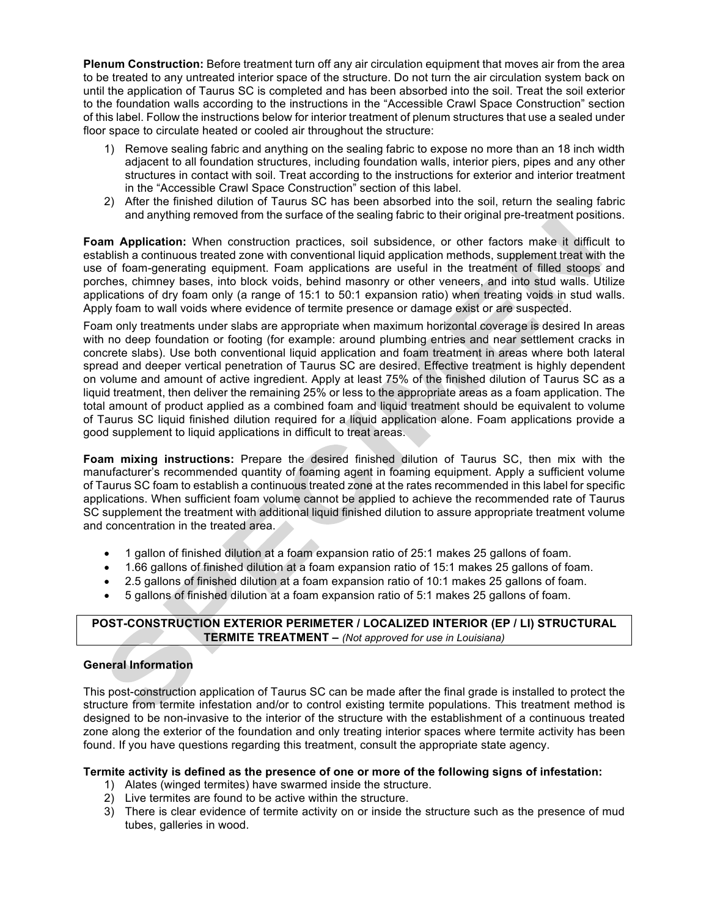**Plenum Construction:** Before treatment turn off any air circulation equipment that moves air from the area to be treated to any untreated interior space of the structure. Do not turn the air circulation system back on until the application of Taurus SC is completed and has been absorbed into the soil. Treat the soil exterior to the foundation walls according to the instructions in the "Accessible Crawl Space Construction" section of this label. Follow the instructions below for interior treatment of plenum structures that use a sealed under floor space to circulate heated or cooled air throughout the structure:

- 1) Remove sealing fabric and anything on the sealing fabric to expose no more than an 18 inch width adjacent to all foundation structures, including foundation walls, interior piers, pipes and any other structures in contact with soil. Treat according to the instructions for exterior and interior treatment in the "Accessible Crawl Space Construction" section of this label.
- 2) After the finished dilution of Taurus SC has been absorbed into the soil, return the sealing fabric and anything removed from the surface of the sealing fabric to their original pre-treatment positions.

**Foam Application:** When construction practices, soil subsidence, or other factors make it difficult to establish a continuous treated zone with conventional liquid application methods, supplement treat with the use of foam-generating equipment. Foam applications are useful in the treatment of filled stoops and porches, chimney bases, into block voids, behind masonry or other veneers, and into stud walls. Utilize applications of dry foam only (a range of 15:1 to 50:1 expansion ratio) when treating voids in stud walls. Apply foam to wall voids where evidence of termite presence or damage exist or are suspected.

Foam only treatments under slabs are appropriate when maximum horizontal coverage is desired In areas with no deep foundation or footing (for example: around plumbing entries and near settlement cracks in concrete slabs). Use both conventional liquid application and foam treatment in areas where both lateral spread and deeper vertical penetration of Taurus SC are desired. Effective treatment is highly dependent on volume and amount of active ingredient. Apply at least 75% of the finished dilution of Taurus SC as a liquid treatment, then deliver the remaining 25% or less to the appropriate areas as a foam application. The total amount of product applied as a combined foam and liquid treatment should be equivalent to volume of Taurus SC liquid finished dilution required for a liquid application alone. Foam applications provide a good supplement to liquid applications in difficult to treat areas.

**Foam mixing instructions:** Prepare the desired finished dilution of Taurus SC, then mix with the manufacturer's recommended quantity of foaming agent in foaming equipment. Apply a sufficient volume of Taurus SC foam to establish a continuous treated zone at the rates recommended in this label for specific applications. When sufficient foam volume cannot be applied to achieve the recommended rate of Taurus SC supplement the treatment with additional liquid finished dilution to assure appropriate treatment volume and concentration in the treated area.

- 1 gallon of finished dilution at a foam expansion ratio of 25:1 makes 25 gallons of foam.
- 1.66 gallons of finished dilution at a foam expansion ratio of 15:1 makes 25 gallons of foam.
- 2.5 gallons of finished dilution at a foam expansion ratio of 10:1 makes 25 gallons of foam.
- 5 gallons of finished dilution at a foam expansion ratio of 5:1 makes 25 gallons of foam.

# **POST-CONSTRUCTION EXTERIOR PERIMETER / LOCALIZED INTERIOR (EP / LI) STRUCTURAL TERMITE TREATMENT –** *(Not approved for use in Louisiana)*

#### **General Information**

This post-construction application of Taurus SC can be made after the final grade is installed to protect the structure from termite infestation and/or to control existing termite populations. This treatment method is designed to be non-invasive to the interior of the structure with the establishment of a continuous treated zone along the exterior of the foundation and only treating interior spaces where termite activity has been found. If you have questions regarding this treatment, consult the appropriate state agency.

#### **Termite activity is defined as the presence of one or more of the following signs of infestation:**

- 1) Alates (winged termites) have swarmed inside the structure.
- 2) Live termites are found to be active within the structure.
- 3) There is clear evidence of termite activity on or inside the structure such as the presence of mud tubes, galleries in wood.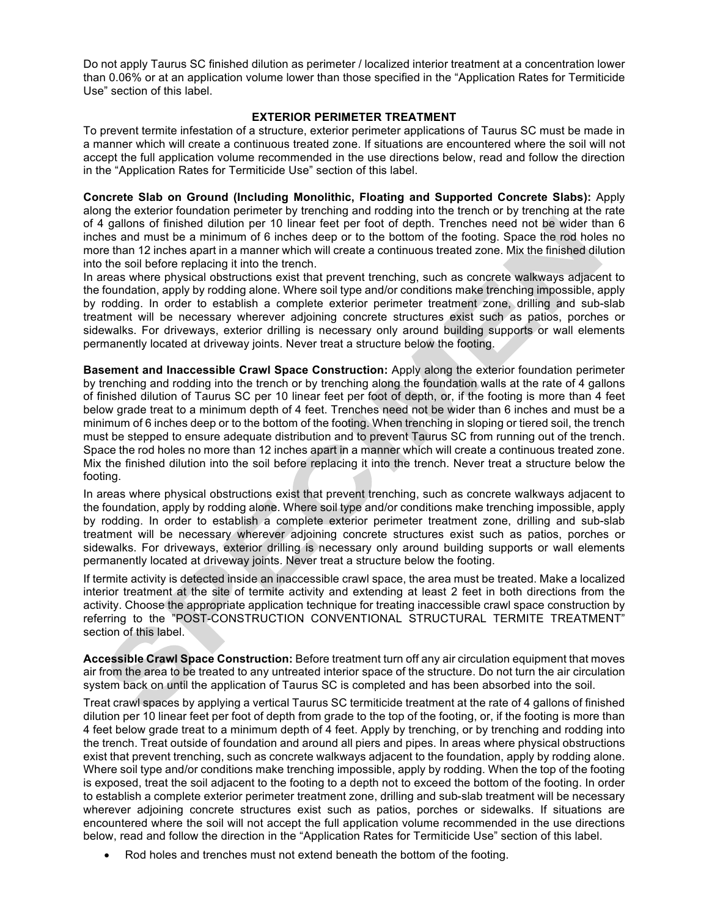Do not apply Taurus SC finished dilution as perimeter / localized interior treatment at a concentration lower than 0.06% or at an application volume lower than those specified in the "Application Rates for Termiticide Use" section of this label.

#### **EXTERIOR PERIMETER TREATMENT**

To prevent termite infestation of a structure, exterior perimeter applications of Taurus SC must be made in a manner which will create a continuous treated zone. If situations are encountered where the soil will not accept the full application volume recommended in the use directions below, read and follow the direction in the "Application Rates for Termiticide Use" section of this label.

**Concrete Slab on Ground (Including Monolithic, Floating and Supported Concrete Slabs):** Apply along the exterior foundation perimeter by trenching and rodding into the trench or by trenching at the rate of 4 gallons of finished dilution per 10 linear feet per foot of depth. Trenches need not be wider than 6 inches and must be a minimum of 6 inches deep or to the bottom of the footing. Space the rod holes no more than 12 inches apart in a manner which will create a continuous treated zone. Mix the finished dilution into the soil before replacing it into the trench.

In areas where physical obstructions exist that prevent trenching, such as concrete walkways adjacent to the foundation, apply by rodding alone. Where soil type and/or conditions make trenching impossible, apply by rodding. In order to establish a complete exterior perimeter treatment zone, drilling and sub-slab treatment will be necessary wherever adjoining concrete structures exist such as patios, porches or sidewalks. For driveways, exterior drilling is necessary only around building supports or wall elements permanently located at driveway joints. Never treat a structure below the footing.

**Basement and Inaccessible Crawl Space Construction:** Apply along the exterior foundation perimeter by trenching and rodding into the trench or by trenching along the foundation walls at the rate of 4 gallons of finished dilution of Taurus SC per 10 linear feet per foot of depth, or, if the footing is more than 4 feet below grade treat to a minimum depth of 4 feet. Trenches need not be wider than 6 inches and must be a minimum of 6 inches deep or to the bottom of the footing. When trenching in sloping or tiered soil, the trench must be stepped to ensure adequate distribution and to prevent Taurus SC from running out of the trench. Space the rod holes no more than 12 inches apart in a manner which will create a continuous treated zone. Mix the finished dilution into the soil before replacing it into the trench. Never treat a structure below the footing.

In areas where physical obstructions exist that prevent trenching, such as concrete walkways adjacent to the foundation, apply by rodding alone. Where soil type and/or conditions make trenching impossible, apply by rodding. In order to establish a complete exterior perimeter treatment zone, drilling and sub-slab treatment will be necessary wherever adjoining concrete structures exist such as patios, porches or sidewalks. For driveways, exterior drilling is necessary only around building supports or wall elements permanently located at driveway joints. Never treat a structure below the footing.

If termite activity is detected inside an inaccessible crawl space, the area must be treated. Make a localized interior treatment at the site of termite activity and extending at least 2 feet in both directions from the activity. Choose the appropriate application technique for treating inaccessible crawl space construction by referring to the "POST-CONSTRUCTION CONVENTIONAL STRUCTURAL TERMITE TREATMENT" section of this label.

**Accessible Crawl Space Construction:** Before treatment turn off any air circulation equipment that moves air from the area to be treated to any untreated interior space of the structure. Do not turn the air circulation system back on until the application of Taurus SC is completed and has been absorbed into the soil.

Treat crawl spaces by applying a vertical Taurus SC termiticide treatment at the rate of 4 gallons of finished dilution per 10 linear feet per foot of depth from grade to the top of the footing, or, if the footing is more than 4 feet below grade treat to a minimum depth of 4 feet. Apply by trenching, or by trenching and rodding into the trench. Treat outside of foundation and around all piers and pipes. In areas where physical obstructions exist that prevent trenching, such as concrete walkways adjacent to the foundation, apply by rodding alone. Where soil type and/or conditions make trenching impossible, apply by rodding. When the top of the footing is exposed, treat the soil adjacent to the footing to a depth not to exceed the bottom of the footing. In order to establish a complete exterior perimeter treatment zone, drilling and sub-slab treatment will be necessary wherever adioining concrete structures exist such as patios, porches or sidewalks. If situations are encountered where the soil will not accept the full application volume recommended in the use directions below, read and follow the direction in the "Application Rates for Termiticide Use" section of this label.

• Rod holes and trenches must not extend beneath the bottom of the footing.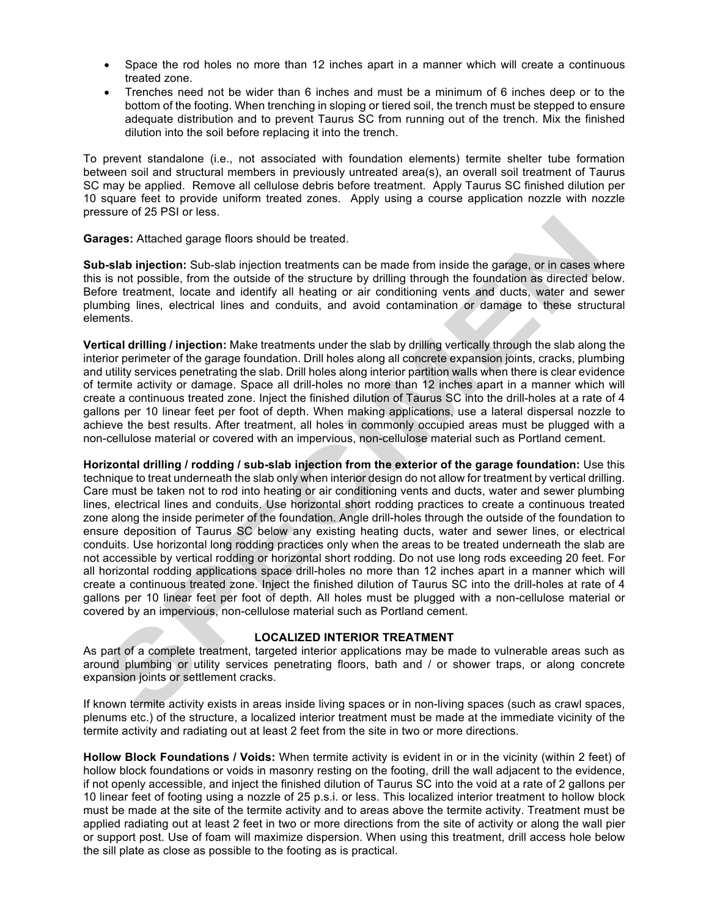- Space the rod holes no more than 12 inches apart in a manner which will create a continuous treated zone.
- Trenches need not be wider than 6 inches and must be a minimum of 6 inches deep or to the bottom of the footing. When trenching in sloping or tiered soil, the trench must be stepped to ensure adequate distribution and to prevent Taurus SC from running out of the trench. Mix the finished dilution into the soil before replacing it into the trench.

To prevent standalone (i.e., not associated with foundation elements) termite shelter tube formation between soil and structural members in previously untreated area(s), an overall soil treatment of Taurus SC may be applied. Remove all cellulose debris before treatment. Apply Taurus SC finished dilution per 10 square feet to provide uniform treated zones. Apply using a course application nozzle with nozzle pressure of 25 PSI or less.

**Garages:** Attached garage floors should be treated.

**Sub-slab injection:** Sub-slab injection treatments can be made from inside the garage, or in cases where this is not possible, from the outside of the structure by drilling through the foundation as directed below. Before treatment, locate and identify all heating or air conditioning vents and ducts, water and sewer plumbing lines, electrical lines and conduits, and avoid contamination or damage to these structural elements.

**Vertical drilling / injection:** Make treatments under the slab by drilling vertically through the slab along the interior perimeter of the garage foundation. Drill holes along all concrete expansion joints, cracks, plumbing and utility services penetrating the slab. Drill holes along interior partition walls when there is clear evidence of termite activity or damage. Space all drill-holes no more than 12 inches apart in a manner which will create a continuous treated zone. Inject the finished dilution of Taurus SC into the drill-holes at a rate of 4 gallons per 10 linear feet per foot of depth. When making applications, use a lateral dispersal nozzle to achieve the best results. After treatment, all holes in commonly occupied areas must be plugged with a non-cellulose material or covered with an impervious, non-cellulose material such as Portland cement.

**Horizontal drilling / rodding / sub-slab injection from the exterior of the garage foundation:** Use this technique to treat underneath the slab only when interior design do not allow for treatment by vertical drilling. Care must be taken not to rod into heating or air conditioning vents and ducts, water and sewer plumbing lines, electrical lines and conduits. Use horizontal short rodding practices to create a continuous treated zone along the inside perimeter of the foundation. Angle drill-holes through the outside of the foundation to ensure deposition of Taurus SC below any existing heating ducts, water and sewer lines, or electrical conduits. Use horizontal long rodding practices only when the areas to be treated underneath the slab are not accessible by vertical rodding or horizontal short rodding. Do not use long rods exceeding 20 feet. For all horizontal rodding applications space drill-holes no more than 12 inches apart in a manner which will create a continuous treated zone. Inject the finished dilution of Taurus SC into the drill-holes at rate of 4 gallons per 10 linear feet per foot of depth. All holes must be plugged with a non-cellulose material or covered by an impervious, non-cellulose material such as Portland cement.

#### **LOCALIZED INTERIOR TREATMENT**

As part of a complete treatment, targeted interior applications may be made to vulnerable areas such as around plumbing or utility services penetrating floors, bath and / or shower traps, or along concrete expansion joints or settlement cracks.

If known termite activity exists in areas inside living spaces or in non-living spaces (such as crawl spaces, plenums etc.) of the structure, a localized interior treatment must be made at the immediate vicinity of the termite activity and radiating out at least 2 feet from the site in two or more directions.

**Hollow Block Foundations / Voids:** When termite activity is evident in or in the vicinity (within 2 feet) of hollow block foundations or voids in masonry resting on the footing, drill the wall adjacent to the evidence, if not openly accessible, and inject the finished dilution of Taurus SC into the void at a rate of 2 gallons per 10 linear feet of footing using a nozzle of 25 p.s.i. or less. This localized interior treatment to hollow block must be made at the site of the termite activity and to areas above the termite activity. Treatment must be applied radiating out at least 2 feet in two or more directions from the site of activity or along the wall pier or support post. Use of foam will maximize dispersion. When using this treatment, drill access hole below the sill plate as close as possible to the footing as is practical.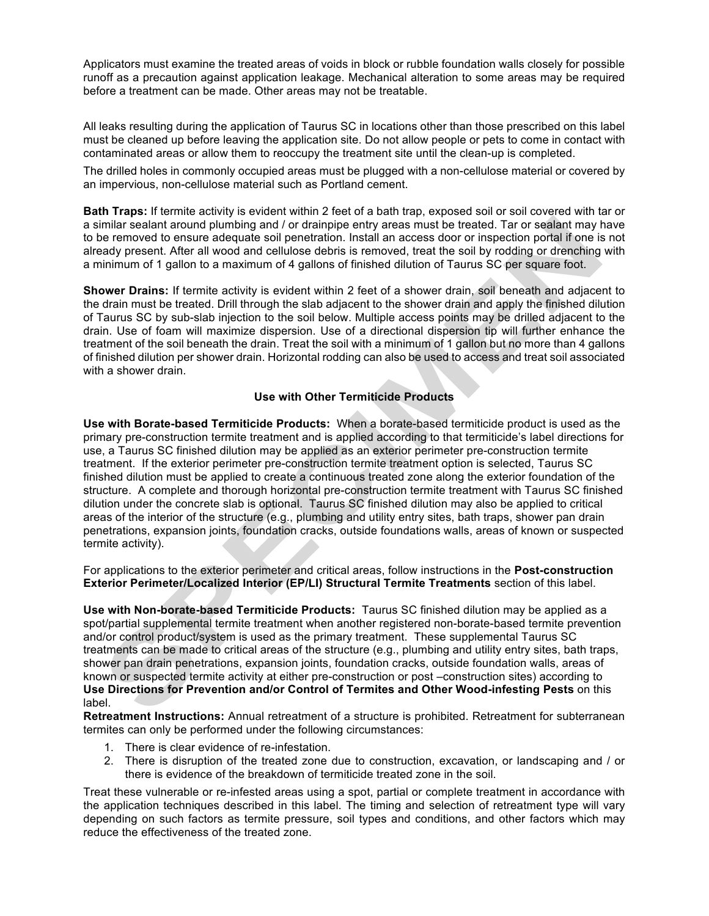Applicators must examine the treated areas of voids in block or rubble foundation walls closely for possible runoff as a precaution against application leakage. Mechanical alteration to some areas may be required before a treatment can be made. Other areas may not be treatable.

All leaks resulting during the application of Taurus SC in locations other than those prescribed on this label must be cleaned up before leaving the application site. Do not allow people or pets to come in contact with contaminated areas or allow them to reoccupy the treatment site until the clean-up is completed.

The drilled holes in commonly occupied areas must be plugged with a non-cellulose material or covered by an impervious, non-cellulose material such as Portland cement.

**Bath Traps:** If termite activity is evident within 2 feet of a bath trap, exposed soil or soil covered with tar or a similar sealant around plumbing and / or drainpipe entry areas must be treated. Tar or sealant may have to be removed to ensure adequate soil penetration. Install an access door or inspection portal if one is not already present. After all wood and cellulose debris is removed, treat the soil by rodding or drenching with a minimum of 1 gallon to a maximum of 4 gallons of finished dilution of Taurus SC per square foot.

**Shower Drains:** If termite activity is evident within 2 feet of a shower drain, soil beneath and adjacent to the drain must be treated. Drill through the slab adjacent to the shower drain and apply the finished dilution of Taurus SC by sub-slab injection to the soil below. Multiple access points may be drilled adjacent to the drain. Use of foam will maximize dispersion. Use of a directional dispersion tip will further enhance the treatment of the soil beneath the drain. Treat the soil with a minimum of 1 gallon but no more than 4 gallons of finished dilution per shower drain. Horizontal rodding can also be used to access and treat soil associated with a shower drain.

# **Use with Other Termiticide Products**

**Use with Borate-based Termiticide Products:** When a borate-based termiticide product is used as the primary pre-construction termite treatment and is applied according to that termiticide's label directions for use, a Taurus SC finished dilution may be applied as an exterior perimeter pre-construction termite treatment. If the exterior perimeter pre-construction termite treatment option is selected, Taurus SC finished dilution must be applied to create a continuous treated zone along the exterior foundation of the structure. A complete and thorough horizontal pre-construction termite treatment with Taurus SC finished dilution under the concrete slab is optional. Taurus SC finished dilution may also be applied to critical areas of the interior of the structure (e.g., plumbing and utility entry sites, bath traps, shower pan drain penetrations, expansion joints, foundation cracks, outside foundations walls, areas of known or suspected termite activity).

For applications to the exterior perimeter and critical areas, follow instructions in the **Post-construction Exterior Perimeter/Localized Interior (EP/LI) Structural Termite Treatments** section of this label.

**Use with Non-borate-based Termiticide Products:** Taurus SC finished dilution may be applied as a spot/partial supplemental termite treatment when another registered non-borate-based termite prevention and/or control product/system is used as the primary treatment. These supplemental Taurus SC treatments can be made to critical areas of the structure (e.g., plumbing and utility entry sites, bath traps, shower pan drain penetrations, expansion joints, foundation cracks, outside foundation walls, areas of known or suspected termite activity at either pre-construction or post –construction sites) according to **Use Directions for Prevention and/or Control of Termites and Other Wood-infesting Pests** on this label.

**Retreatment Instructions:** Annual retreatment of a structure is prohibited. Retreatment for subterranean termites can only be performed under the following circumstances:

- 1. There is clear evidence of re-infestation.
- 2. There is disruption of the treated zone due to construction, excavation, or landscaping and / or there is evidence of the breakdown of termiticide treated zone in the soil.

Treat these vulnerable or re-infested areas using a spot, partial or complete treatment in accordance with the application techniques described in this label. The timing and selection of retreatment type will vary depending on such factors as termite pressure, soil types and conditions, and other factors which may reduce the effectiveness of the treated zone.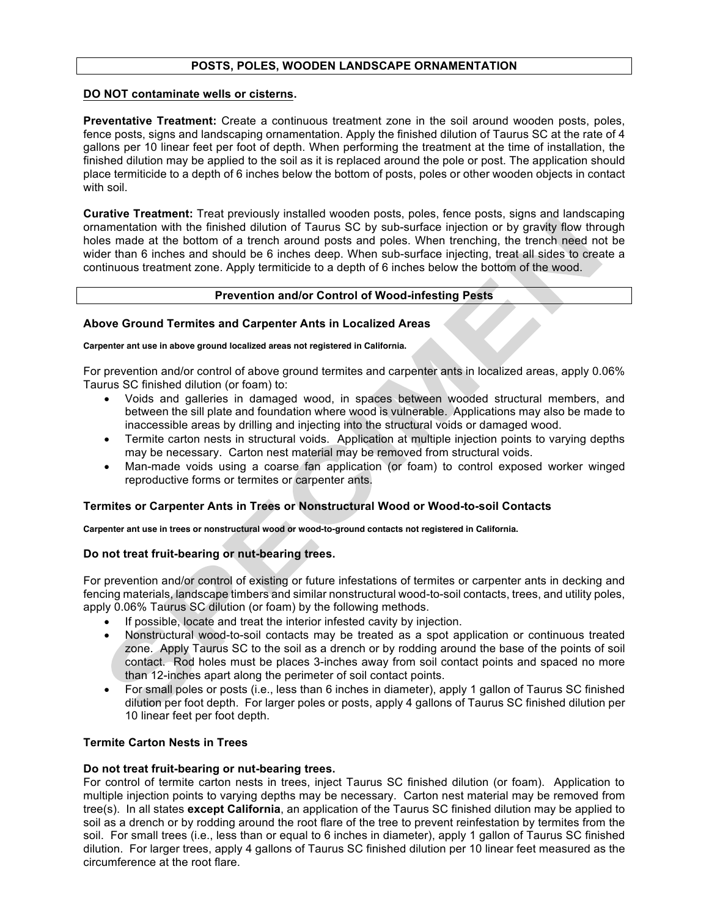# **POSTS, POLES, WOODEN LANDSCAPE ORNAMENTATION**

#### **DO NOT contaminate wells or cisterns.**

**Preventative Treatment:** Create a continuous treatment zone in the soil around wooden posts, poles, fence posts, signs and landscaping ornamentation. Apply the finished dilution of Taurus SC at the rate of 4 gallons per 10 linear feet per foot of depth. When performing the treatment at the time of installation, the finished dilution may be applied to the soil as it is replaced around the pole or post. The application should place termiticide to a depth of 6 inches below the bottom of posts, poles or other wooden objects in contact with soil.

**Curative Treatment:** Treat previously installed wooden posts, poles, fence posts, signs and landscaping ornamentation with the finished dilution of Taurus SC by sub-surface injection or by gravity flow through holes made at the bottom of a trench around posts and poles. When trenching, the trench need not be wider than 6 inches and should be 6 inches deep. When sub-surface injecting, treat all sides to create a continuous treatment zone. Apply termiticide to a depth of 6 inches below the bottom of the wood.

#### **Prevention and/or Control of Wood-infesting Pests**

#### **Above Ground Termites and Carpenter Ants in Localized Areas**

#### **Carpenter ant use in above ground localized areas not registered in California.**

For prevention and/or control of above ground termites and carpenter ants in localized areas, apply 0.06% Taurus SC finished dilution (or foam) to:

- Voids and galleries in damaged wood, in spaces between wooded structural members, and between the sill plate and foundation where wood is vulnerable. Applications may also be made to inaccessible areas by drilling and injecting into the structural voids or damaged wood.
- Termite carton nests in structural voids. Application at multiple injection points to varying depths may be necessary. Carton nest material may be removed from structural voids.
- Man-made voids using a coarse fan application (or foam) to control exposed worker winged reproductive forms or termites or carpenter ants.

# **Termites or Carpenter Ants in Trees or Nonstructural Wood or Wood-to-soil Contacts**

**Carpenter ant use in trees or nonstructural wood or wood-to-ground contacts not registered in California.**

#### **Do not treat fruit-bearing or nut-bearing trees.**

For prevention and/or control of existing or future infestations of termites or carpenter ants in decking and fencing materials, landscape timbers and similar nonstructural wood-to-soil contacts, trees, and utility poles, apply 0.06% Taurus SC dilution (or foam) by the following methods.

- If possible, locate and treat the interior infested cavity by injection.
- Nonstructural wood-to-soil contacts may be treated as a spot application or continuous treated zone. Apply Taurus SC to the soil as a drench or by rodding around the base of the points of soil contact. Rod holes must be places 3-inches away from soil contact points and spaced no more than 12-inches apart along the perimeter of soil contact points.
- For small poles or posts (i.e., less than 6 inches in diameter), apply 1 gallon of Taurus SC finished dilution per foot depth. For larger poles or posts, apply 4 gallons of Taurus SC finished dilution per 10 linear feet per foot depth.

#### **Termite Carton Nests in Trees**

#### **Do not treat fruit-bearing or nut-bearing trees.**

For control of termite carton nests in trees, inject Taurus SC finished dilution (or foam). Application to multiple injection points to varying depths may be necessary. Carton nest material may be removed from tree(s). In all states **except California**, an application of the Taurus SC finished dilution may be applied to soil as a drench or by rodding around the root flare of the tree to prevent reinfestation by termites from the soil. For small trees (i.e., less than or equal to 6 inches in diameter), apply 1 gallon of Taurus SC finished dilution. For larger trees, apply 4 gallons of Taurus SC finished dilution per 10 linear feet measured as the circumference at the root flare.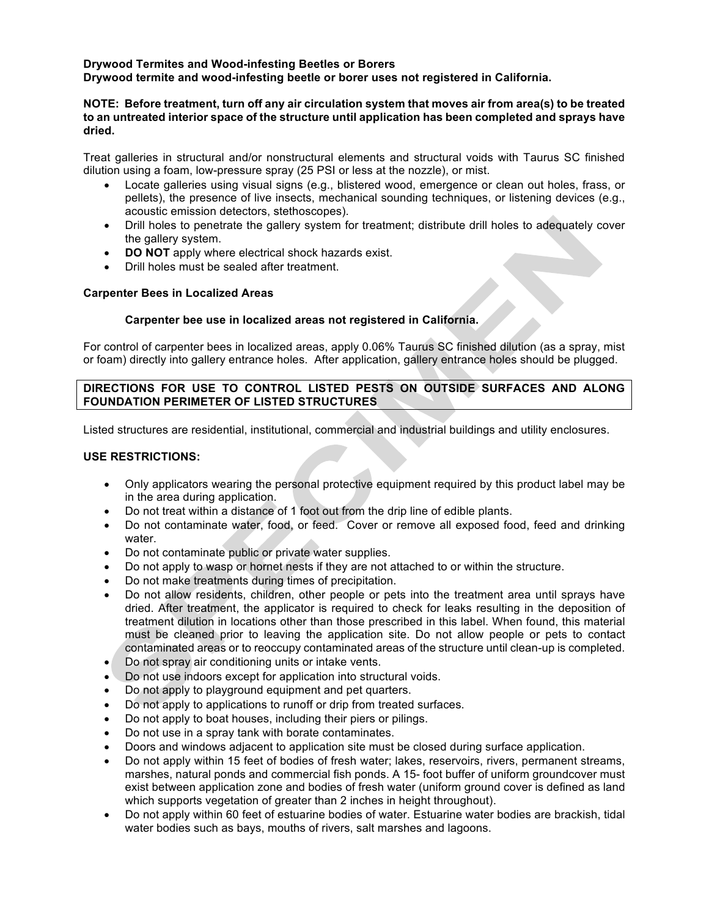# **Drywood Termites and Wood-infesting Beetles or Borers Drywood termite and wood-infesting beetle or borer uses not registered in California.**

# **NOTE: Before treatment, turn off any air circulation system that moves air from area(s) to be treated to an untreated interior space of the structure until application has been completed and sprays have dried.**

Treat galleries in structural and/or nonstructural elements and structural voids with Taurus SC finished dilution using a foam, low-pressure spray (25 PSI or less at the nozzle), or mist.

- Locate galleries using visual signs (e.g., blistered wood, emergence or clean out holes, frass, or pellets), the presence of live insects, mechanical sounding techniques, or listening devices (e.g., acoustic emission detectors, stethoscopes).
- Drill holes to penetrate the gallery system for treatment; distribute drill holes to adequately cover the gallery system.
- **DO NOT** apply where electrical shock hazards exist.
- Drill holes must be sealed after treatment.

# **Carpenter Bees in Localized Areas**

#### **Carpenter bee use in localized areas not registered in California.**

For control of carpenter bees in localized areas, apply 0.06% Taurus SC finished dilution (as a spray, mist or foam) directly into gallery entrance holes. After application, gallery entrance holes should be plugged.

# **DIRECTIONS FOR USE TO CONTROL LISTED PESTS ON OUTSIDE SURFACES AND ALONG FOUNDATION PERIMETER OF LISTED STRUCTURES**

Listed structures are residential, institutional, commercial and industrial buildings and utility enclosures.

#### **USE RESTRICTIONS:**

- Only applicators wearing the personal protective equipment required by this product label may be in the area during application.
- Do not treat within a distance of 1 foot out from the drip line of edible plants.
- Do not contaminate water, food, or feed. Cover or remove all exposed food, feed and drinking water.
- Do not contaminate public or private water supplies.
- Do not apply to wasp or hornet nests if they are not attached to or within the structure.
- Do not make treatments during times of precipitation.
- Do not allow residents, children, other people or pets into the treatment area until sprays have dried. After treatment, the applicator is required to check for leaks resulting in the deposition of treatment dilution in locations other than those prescribed in this label. When found, this material must be cleaned prior to leaving the application site. Do not allow people or pets to contact contaminated areas or to reoccupy contaminated areas of the structure until clean-up is completed.
- Do not spray air conditioning units or intake vents.
- Do not use indoors except for application into structural voids.
- Do not apply to playground equipment and pet quarters.
- Do not apply to applications to runoff or drip from treated surfaces.
- Do not apply to boat houses, including their piers or pilings.
- Do not use in a spray tank with borate contaminates.
- Doors and windows adjacent to application site must be closed during surface application.
- Do not apply within 15 feet of bodies of fresh water; lakes, reservoirs, rivers, permanent streams, marshes, natural ponds and commercial fish ponds. A 15- foot buffer of uniform groundcover must exist between application zone and bodies of fresh water (uniform ground cover is defined as land which supports vegetation of greater than 2 inches in height throughout).
- Do not apply within 60 feet of estuarine bodies of water. Estuarine water bodies are brackish, tidal water bodies such as bays, mouths of rivers, salt marshes and lagoons.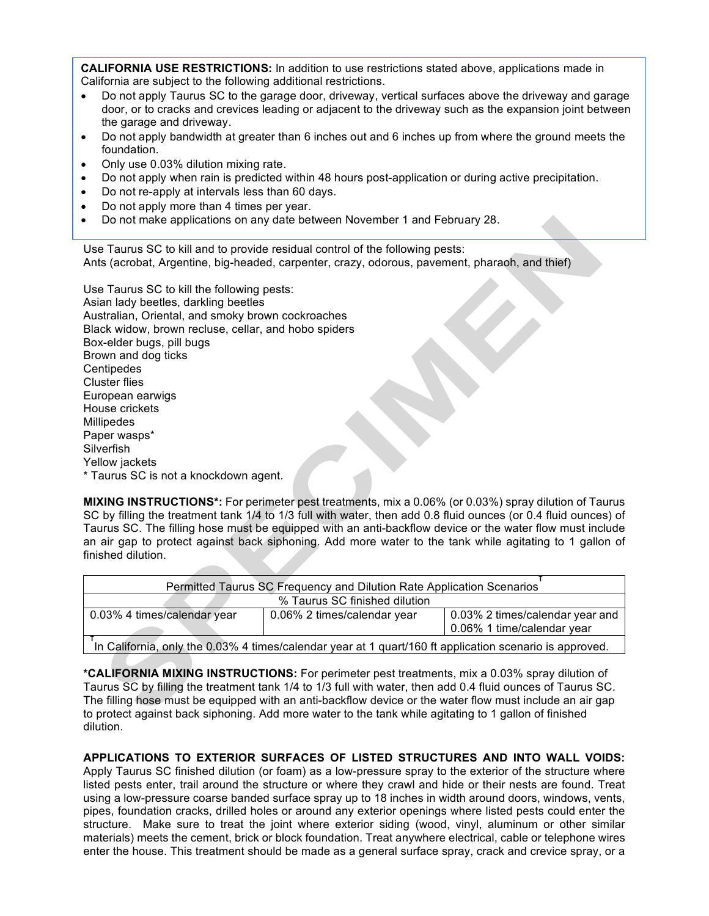**CALIFORNIA USE RESTRICTIONS:** In addition to use restrictions stated above, applications made in California are subject to the following additional restrictions.

- Do not apply Taurus SC to the garage door, driveway, vertical surfaces above the driveway and garage door, or to cracks and crevices leading or adjacent to the driveway such as the expansion joint between the garage and driveway.
- Do not apply bandwidth at greater than 6 inches out and 6 inches up from where the ground meets the foundation.
- Only use 0.03% dilution mixing rate.
- Do not apply when rain is predicted within 48 hours post-application or during active precipitation.
- Do not re-apply at intervals less than 60 days.
- Do not apply more than 4 times per year.
- Do not make applications on any date between November 1 and February 28.

Use Taurus SC to kill and to provide residual control of the following pests: Ants (acrobat, Argentine, big-headed, carpenter, crazy, odorous, pavement, pharaoh, and thief)

Use Taurus SC to kill the following pests: Asian lady beetles, darkling beetles Australian, Oriental, and smoky brown cockroaches Black widow, brown recluse, cellar, and hobo spiders Box-elder bugs, pill bugs Brown and dog ticks **Centipedes** Cluster flies European earwigs House crickets **Millipedes** Paper wasps\* **Silverfish** Yellow jackets \* Taurus SC is not a knockdown agent.

**MIXING INSTRUCTIONS\*:** For perimeter pest treatments, mix a 0.06% (or 0.03%) spray dilution of Taurus SC by filling the treatment tank 1/4 to 1/3 full with water, then add 0.8 fluid ounces (or 0.4 fluid ounces) of Taurus SC. The filling hose must be equipped with an anti-backflow device or the water flow must include an air gap to protect against back siphoning. Add more water to the tank while agitating to 1 gallon of finished dilution.

| Permitted Taurus SC Frequency and Dilution Rate Application Scenarios                                   |                             |                                                               |  |
|---------------------------------------------------------------------------------------------------------|-----------------------------|---------------------------------------------------------------|--|
| % Taurus SC finished dilution                                                                           |                             |                                                               |  |
| 0.03% 4 times/calendar year                                                                             | 0.06% 2 times/calendar year | 0.03% 2 times/calendar year and<br>0.06% 1 time/calendar year |  |
| In California, only the 0.03% 4 times/calendar year at 1 quart/160 ft application scenario is approved. |                             |                                                               |  |

**\*CALIFORNIA MIXING INSTRUCTIONS:** For perimeter pest treatments, mix a 0.03% spray dilution of Taurus SC by filling the treatment tank 1/4 to 1/3 full with water, then add 0.4 fluid ounces of Taurus SC. The filling hose must be equipped with an anti-backflow device or the water flow must include an air gap to protect against back siphoning. Add more water to the tank while agitating to 1 gallon of finished dilution.

**APPLICATIONS TO EXTERIOR SURFACES OF LISTED STRUCTURES AND INTO WALL VOIDS:**  Apply Taurus SC finished dilution (or foam) as a low-pressure spray to the exterior of the structure where listed pests enter, trail around the structure or where they crawl and hide or their nests are found. Treat using a low-pressure coarse banded surface spray up to 18 inches in width around doors, windows, vents, pipes, foundation cracks, drilled holes or around any exterior openings where listed pests could enter the structure. Make sure to treat the joint where exterior siding (wood, vinyl, aluminum or other similar materials) meets the cement, brick or block foundation. Treat anywhere electrical, cable or telephone wires enter the house. This treatment should be made as a general surface spray, crack and crevice spray, or a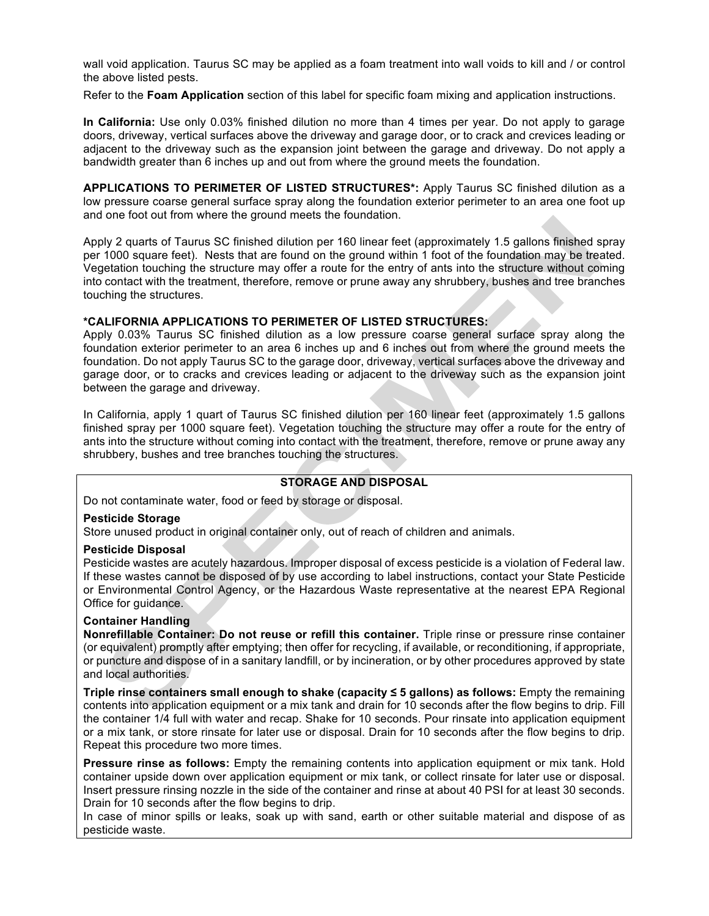wall void application. Taurus SC may be applied as a foam treatment into wall voids to kill and / or control the above listed pests.

Refer to the **Foam Application** section of this label for specific foam mixing and application instructions.

**In California:** Use only 0.03% finished dilution no more than 4 times per year. Do not apply to garage doors, driveway, vertical surfaces above the driveway and garage door, or to crack and crevices leading or adjacent to the driveway such as the expansion joint between the garage and driveway. Do not apply a bandwidth greater than 6 inches up and out from where the ground meets the foundation.

**APPLICATIONS TO PERIMETER OF LISTED STRUCTURES\*:** Apply Taurus SC finished dilution as a low pressure coarse general surface spray along the foundation exterior perimeter to an area one foot up and one foot out from where the ground meets the foundation.

Apply 2 quarts of Taurus SC finished dilution per 160 linear feet (approximately 1.5 gallons finished spray per 1000 square feet). Nests that are found on the ground within 1 foot of the foundation may be treated. Vegetation touching the structure may offer a route for the entry of ants into the structure without coming into contact with the treatment, therefore, remove or prune away any shrubbery, bushes and tree branches touching the structures.

#### **\*CALIFORNIA APPLICATIONS TO PERIMETER OF LISTED STRUCTURES:**

Apply 0.03% Taurus SC finished dilution as a low pressure coarse general surface spray along the foundation exterior perimeter to an area 6 inches up and 6 inches out from where the ground meets the foundation. Do not apply Taurus SC to the garage door, driveway, vertical surfaces above the driveway and garage door, or to cracks and crevices leading or adjacent to the driveway such as the expansion joint between the garage and driveway.

In California, apply 1 quart of Taurus SC finished dilution per 160 linear feet (approximately 1.5 gallons finished spray per 1000 square feet). Vegetation touching the structure may offer a route for the entry of ants into the structure without coming into contact with the treatment, therefore, remove or prune away any shrubbery, bushes and tree branches touching the structures.

#### **STORAGE AND DISPOSAL**

Do not contaminate water, food or feed by storage or disposal.

#### **Pesticide Storage**

Store unused product in original container only, out of reach of children and animals.

#### **Pesticide Disposal**

Pesticide wastes are acutely hazardous. Improper disposal of excess pesticide is a violation of Federal law. If these wastes cannot be disposed of by use according to label instructions, contact your State Pesticide or Environmental Control Agency, or the Hazardous Waste representative at the nearest EPA Regional Office for guidance.

#### **Container Handling**

**Nonrefillable Container: Do not reuse or refill this container.** Triple rinse or pressure rinse container (or equivalent) promptly after emptying; then offer for recycling, if available, or reconditioning, if appropriate, or puncture and dispose of in a sanitary landfill, or by incineration, or by other procedures approved by state and local authorities.

**Triple rinse containers small enough to shake (capacity ≤ 5 gallons) as follows:** Empty the remaining contents into application equipment or a mix tank and drain for 10 seconds after the flow begins to drip. Fill the container 1/4 full with water and recap. Shake for 10 seconds. Pour rinsate into application equipment or a mix tank, or store rinsate for later use or disposal. Drain for 10 seconds after the flow begins to drip. Repeat this procedure two more times.

**Pressure rinse as follows:** Empty the remaining contents into application equipment or mix tank. Hold container upside down over application equipment or mix tank, or collect rinsate for later use or disposal. Insert pressure rinsing nozzle in the side of the container and rinse at about 40 PSI for at least 30 seconds. Drain for 10 seconds after the flow begins to drip.

In case of minor spills or leaks, soak up with sand, earth or other suitable material and dispose of as pesticide waste.